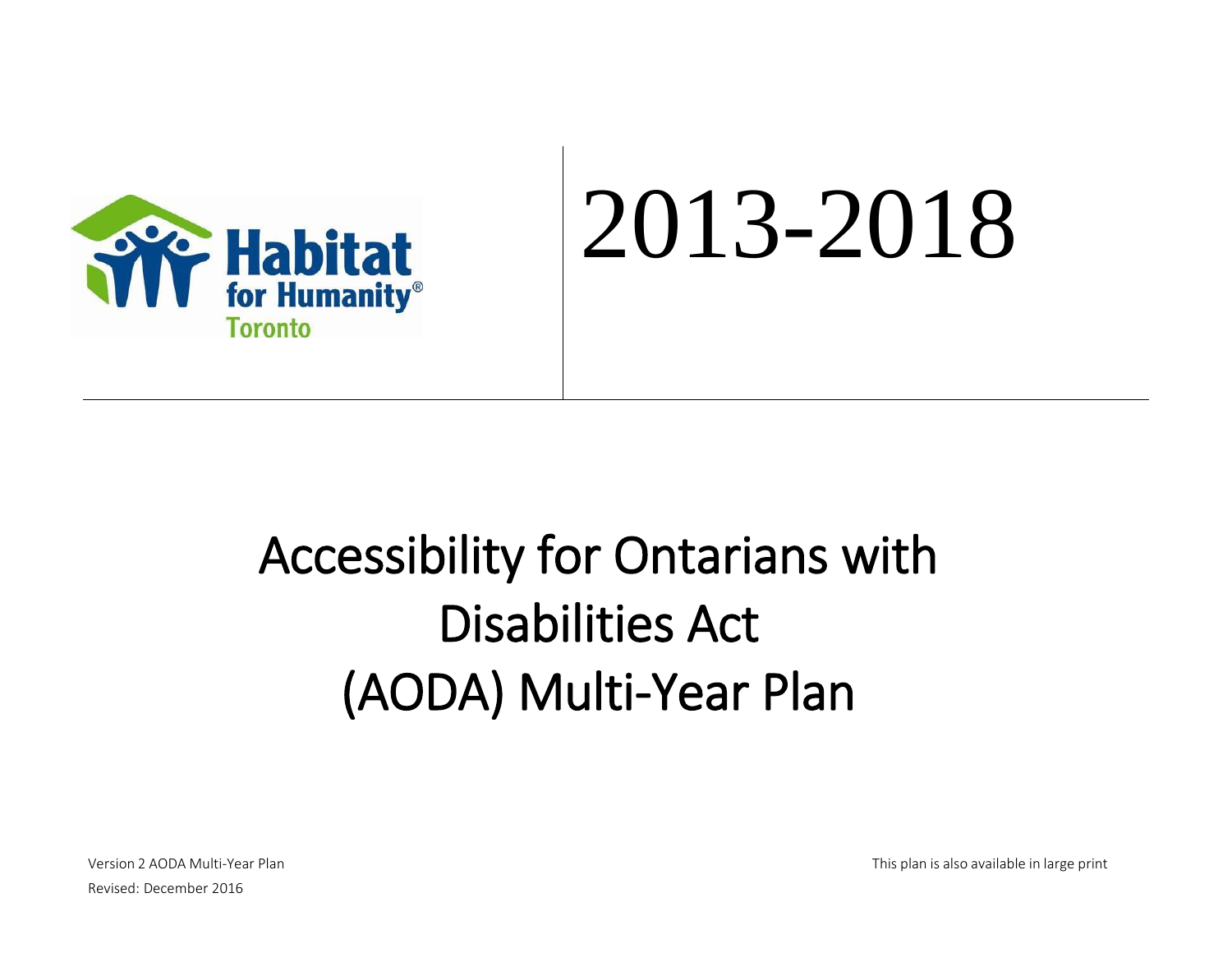

# 2013-2018

# Accessibility for Ontarians with Disabilities Act (AODA) Multi-Year Plan

Version 2 AODA Multi-Year Plan This plan This plan is also available in large print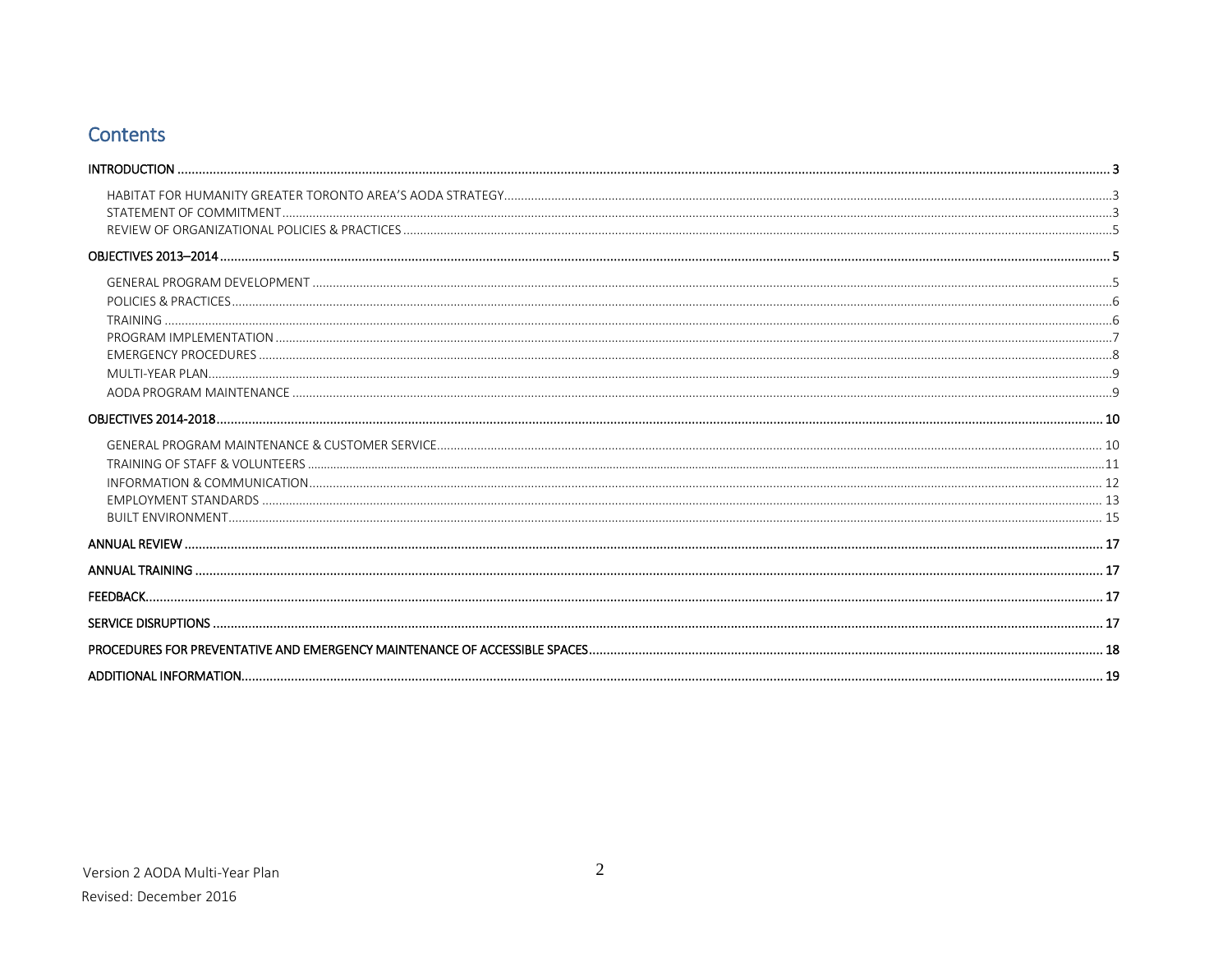# **Contents**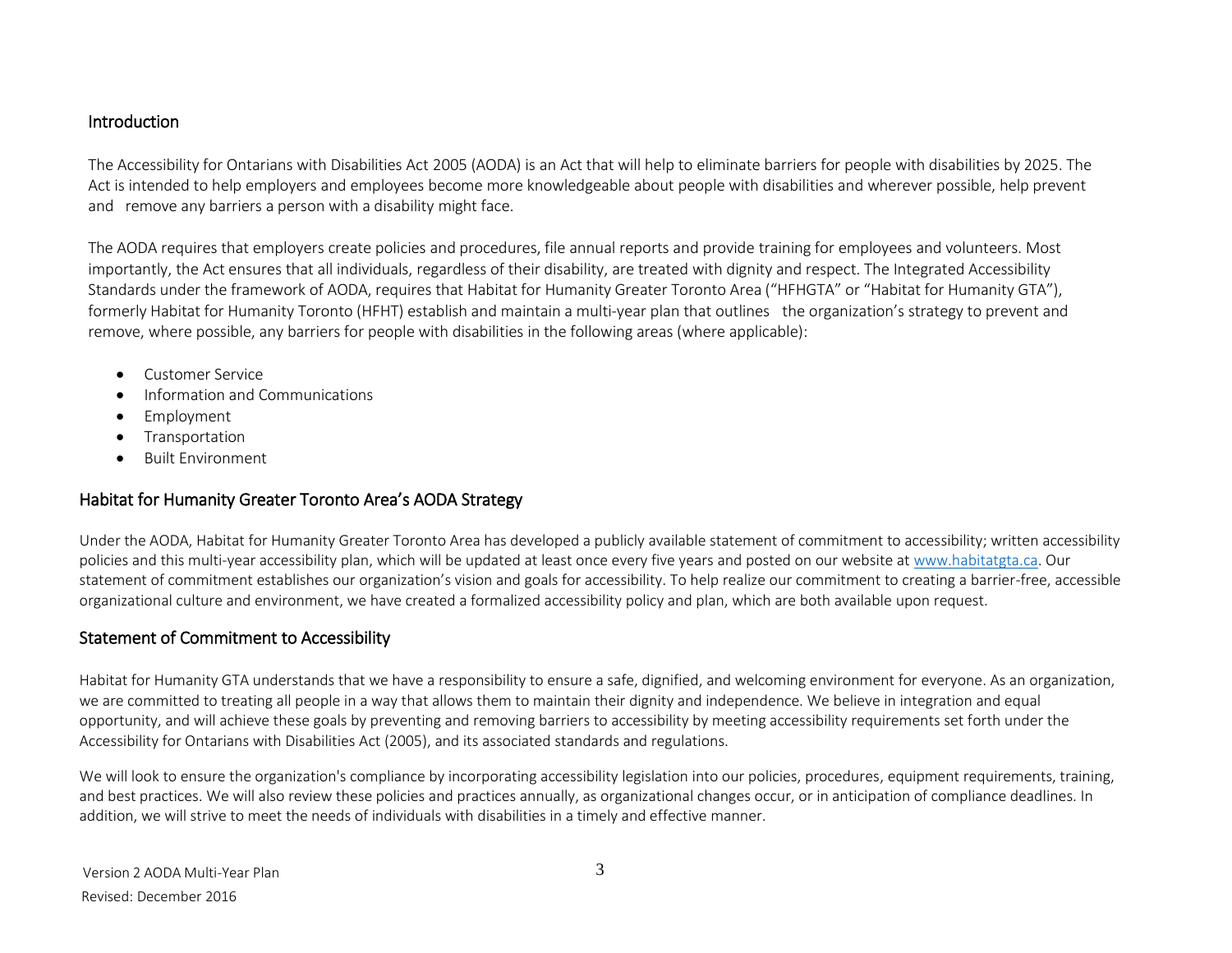#### <span id="page-2-0"></span>Introduction

The Accessibility for Ontarians with Disabilities Act 2005 (AODA) is an Act that will help to eliminate barriers for people with disabilities by 2025. The Act is intended to help employers and employees become more knowledgeable about people with disabilities and wherever possible, help prevent and remove any barriers a person with a disability might face.

The AODA requires that employers create policies and procedures, file annual reports and provide training for employees and volunteers. Most importantly, the Act ensures that all individuals, regardless of their disability, are treated with dignity and respect. The Integrated Accessibility Standards under the framework of AODA, requires that Habitat for Humanity Greater Toronto Area ("HFHGTA" or "Habitat for Humanity GTA"), formerly Habitat for Humanity Toronto (HFHT) establish and maintain a multi-year plan that outlines the organization's strategy to prevent and remove, where possible, any barriers for people with disabilities in the following areas (where applicable):

- Customer Service
- Information and Communications
- Employment
- **•** Transportation
- **•** Built Environment

# Habitat for Humanity Greater Toronto Area's AODA Strategy

Under the AODA, Habitat for Humanity Greater Toronto Area has developed a publicly available statement of commitment to accessibility; written accessibility policies and this multi-year accessibility plan, which will be updated at least once every five years and posted on our website at [www.habitatgta.ca.](http://www.habitatgta.ca/) Our statement of commitment establishes our organization's vision and goals for accessibility. To help realize our commitment to creating a barrier-free, accessible organizational culture and environment, we have created a formalized accessibility policy and plan, which are both available upon request.

### Statement of Commitment to Accessibility

Habitat for Humanity GTA understands that we have a responsibility to ensure a safe, dignified, and welcoming environment for everyone. As an organization, we are committed to treating all people in a way that allows them to maintain their dignity and independence. We believe in integration and equal opportunity, and will achieve these goals by preventing and removing barriers to accessibility by meeting accessibility requirements set forth under the Accessibility for Ontarians with Disabilities Act (2005), and its associated standards and regulations.

We will look to ensure the organization's compliance by incorporating accessibility legislation into our policies, procedures, equipment requirements, training, and best practices. We will also review these policies and practices annually, as organizational changes occur, or in anticipation of compliance deadlines. In addition, we will strive to meet the needs of individuals with disabilities in a timely and effective manner.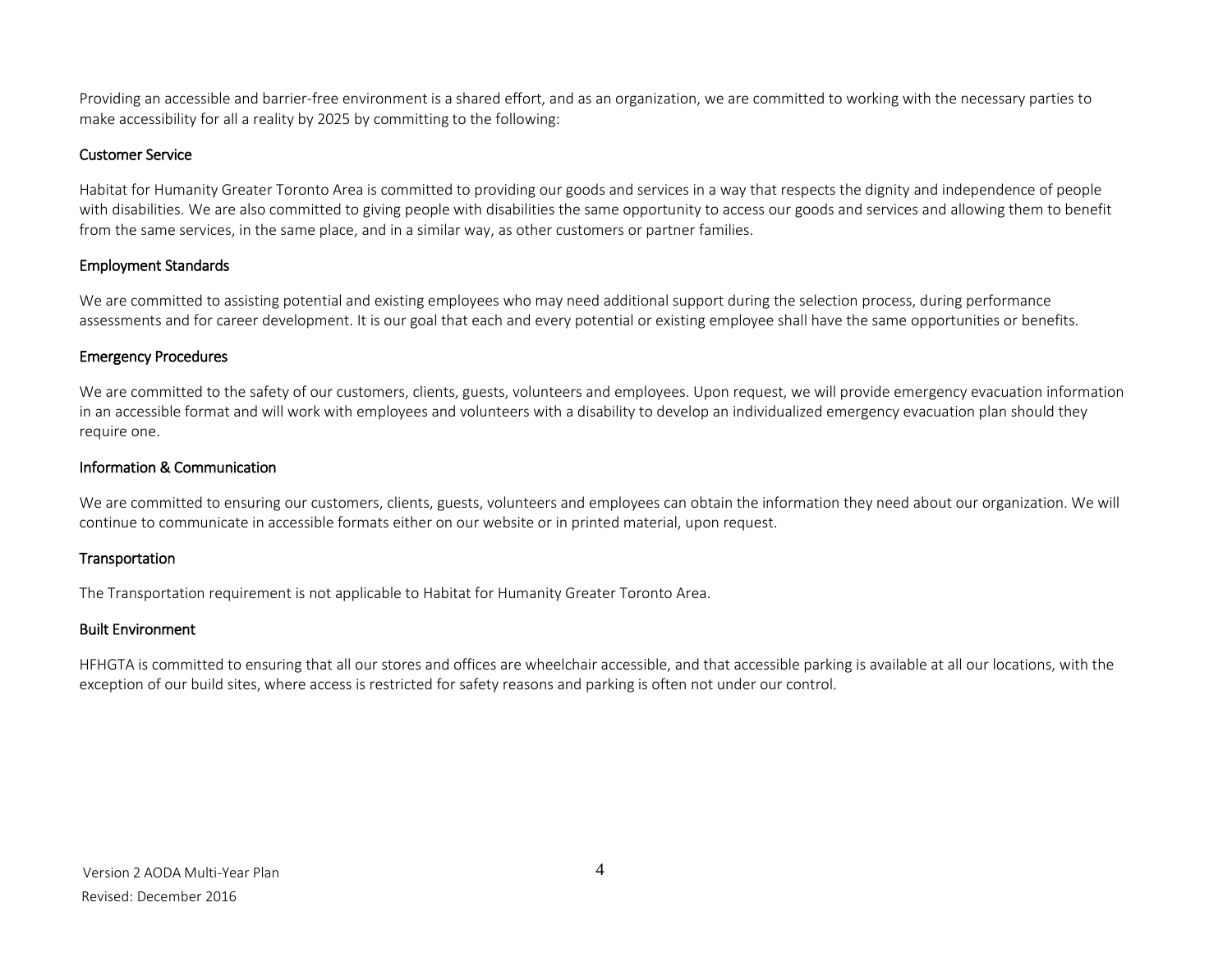Providing an accessible and barrier-free environment is a shared effort, and as an organization, we are committed to working with the necessary parties to make accessibility for all a reality by 2025 by committing to the following:

#### Customer Service

Habitat for Humanity Greater Toronto Area is committed to providing our goods and services in a way that respects the dignity and independence of people with disabilities. We are also committed to giving people with disabilities the same opportunity to access our goods and services and allowing them to benefit from the same services, in the same place, and in a similar way, as other customers or partner families.

#### Employment Standards

We are committed to assisting potential and existing employees who may need additional support during the selection process, during performance assessments and for career development. It is our goal that each and every potential or existing employee shall have the same opportunities or benefits.

#### Emergency Procedures

We are committed to the safety of our customers, clients, guests, volunteers and employees. Upon request, we will provide emergency evacuation information in an accessible format and will work with employees and volunteers with a disability to develop an individualized emergency evacuation plan should they require one.

#### Information & Communication

We are committed to ensuring our customers, clients, guests, volunteers and employees can obtain the information they need about our organization. We will continue to communicate in accessible formats either on our website or in printed material, upon request.

#### Transportation

The Transportation requirement is not applicable to Habitat for Humanity Greater Toronto Area.

#### Built Environment

<span id="page-3-0"></span>HFHGTA is committed to ensuring that all our stores and offices are wheelchair accessible, and that accessible parking is available at all our locations, with the exception of our build sites, where access is restricted for safety reasons and parking is often not under our control.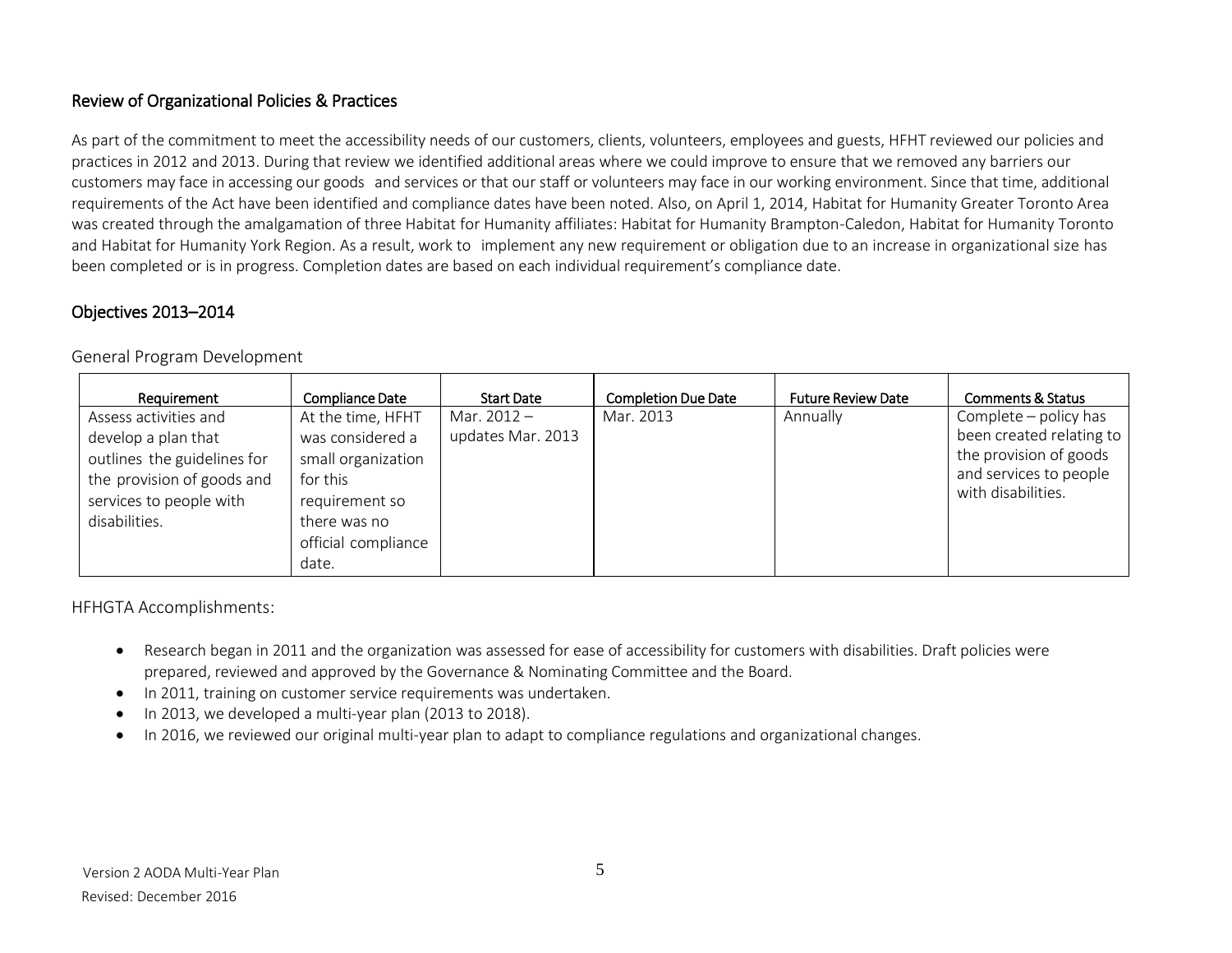# <span id="page-4-0"></span>Review of Organizational Policies & Practices

As part of the commitment to meet the accessibility needs of our customers, clients, volunteers, employees and guests, HFHT reviewed our policies and practices in 2012 and 2013. During that review we identified additional areas where we could improve to ensure that we removed any barriers our customers may face in accessing our goods and services or that our staff or volunteers may face in our working environment. Since that time, additional requirements of the Act have been identified and compliance dates have been noted. Also, on April 1, 2014, Habitat for Humanity Greater Toronto Area was created through the amalgamation of three Habitat for Humanity affiliates: Habitat for Humanity Brampton-Caledon, Habitat for Humanity Toronto and Habitat for Humanity York Region. As a result, work to implement any new requirement or obligation due to an increase in organizational size has been completed or is in progress. Completion dates are based on each individual requirement's compliance date.

#### <span id="page-4-2"></span><span id="page-4-1"></span>Objectives 2013–2014

General Program Development

| Requirement                                                                                                                                           | Compliance Date                                                                                                                           | <b>Start Date</b>                  | <b>Completion Due Date</b> | <b>Future Review Date</b> | <b>Comments &amp; Status</b>                                                                                                |
|-------------------------------------------------------------------------------------------------------------------------------------------------------|-------------------------------------------------------------------------------------------------------------------------------------------|------------------------------------|----------------------------|---------------------------|-----------------------------------------------------------------------------------------------------------------------------|
| Assess activities and<br>develop a plan that<br>outlines the guidelines for<br>the provision of goods and<br>services to people with<br>disabilities. | At the time, HFHT<br>was considered a<br>small organization<br>for this<br>requirement so<br>there was no<br>official compliance<br>date. | Mar. $2012 -$<br>updates Mar. 2013 | Mar. 2013                  | Annually                  | Complete – policy has<br>been created relating to<br>the provision of goods<br>and services to people<br>with disabilities. |

HFHGTA Accomplishments:

- Research began in 2011 and the organization was assessed for ease of accessibility for customers with disabilities. Draft policies were prepared, reviewed and approved by the Governance & Nominating Committee and the Board.
- In 2011, training on customer service requirements was undertaken.
- In 2013, we developed a multi-year plan (2013 to 2018).
- In 2016, we reviewed our original multi-year plan to adapt to compliance regulations and organizational changes.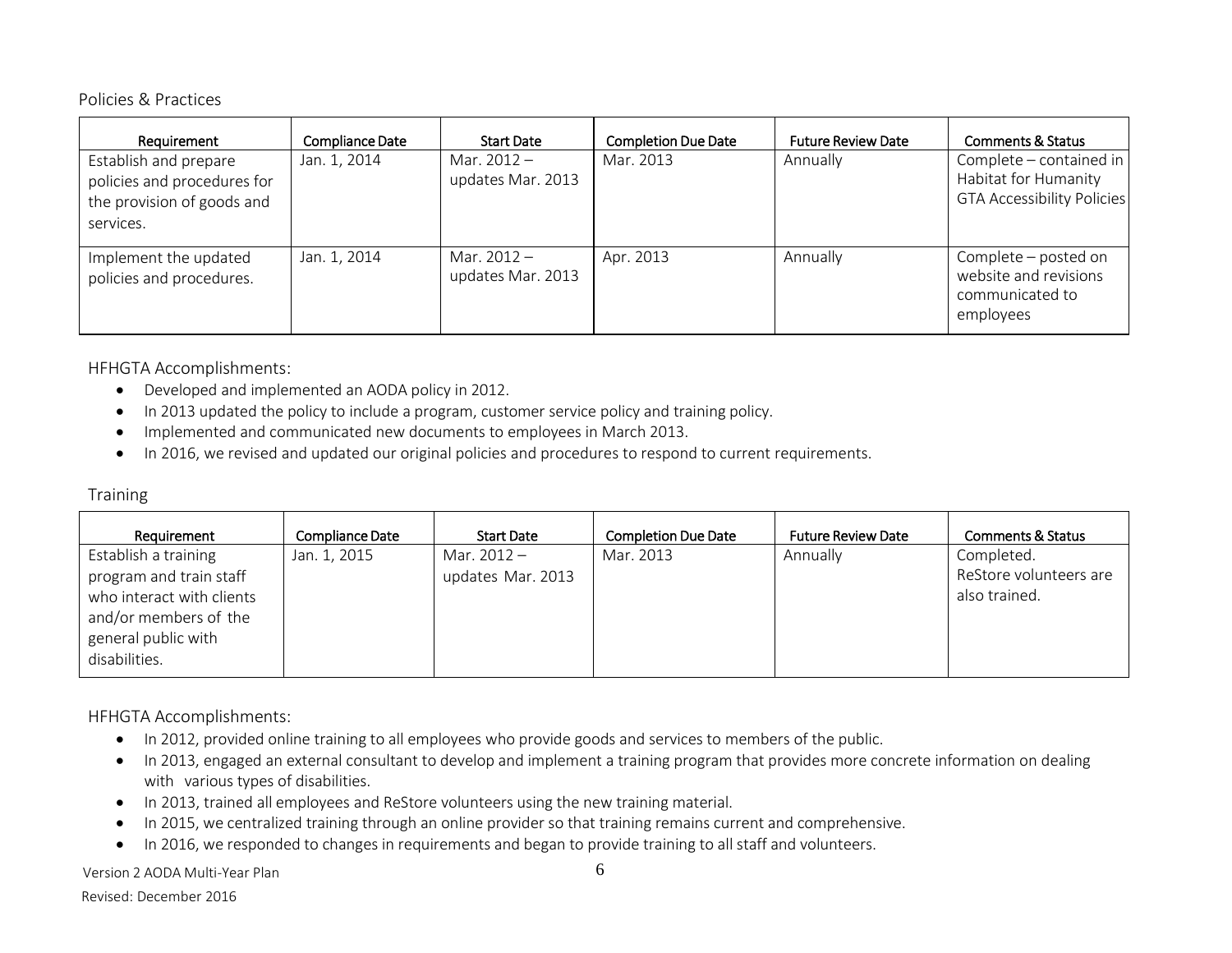#### <span id="page-5-0"></span>Policies & Practices

| Requirement                                                                                     | <b>Compliance Date</b> | <b>Start Date</b>                  | <b>Completion Due Date</b> | <b>Future Review Date</b> | <b>Comments &amp; Status</b>                                                         |
|-------------------------------------------------------------------------------------------------|------------------------|------------------------------------|----------------------------|---------------------------|--------------------------------------------------------------------------------------|
| Establish and prepare<br>policies and procedures for<br>the provision of goods and<br>services. | Jan. 1, 2014           | Mar. $2012 -$<br>updates Mar. 2013 | Mar. 2013                  | Annually                  | Complete – contained in<br>Habitat for Humanity<br><b>GTA Accessibility Policies</b> |
| Implement the updated<br>policies and procedures.                                               | Jan. 1, 2014           | Mar. $2012 -$<br>updates Mar. 2013 | Apr. 2013                  | Annually                  | Complete – posted on<br>website and revisions<br>communicated to<br>employees        |

HFHGTA Accomplishments:

- Developed and implemented an AODA policy in 2012.
- In 2013 updated the policy to include a program, customer service policy and training policy.
- Implemented and communicated new documents to employees in March 2013.
- In 2016, we revised and updated our original policies and procedures to respond to current requirements.

#### <span id="page-5-1"></span>**Training**

| Requirement                                                                                                                                   | Compliance Date | <b>Start Date</b>                | <b>Completion Due Date</b> | <b>Future Review Date</b> | <b>Comments &amp; Status</b>                          |
|-----------------------------------------------------------------------------------------------------------------------------------------------|-----------------|----------------------------------|----------------------------|---------------------------|-------------------------------------------------------|
| Establish a training<br>program and train staff<br>who interact with clients<br>and/or members of the<br>general public with<br>disabilities. | Jan. 1, 2015    | Mar. 2012 -<br>updates Mar. 2013 | Mar. 2013                  | Annually                  | Completed.<br>ReStore volunteers are<br>also trained. |

HFHGTA Accomplishments:

- In 2012, provided online training to all employees who provide goods and services to members of the public.
- In 2013, engaged an external consultant to develop and implement a training program that provides more concrete information on dealing with various types of disabilities.
- In 2013, trained all employees and ReStore volunteers using the new training material.
- In 2015, we centralized training through an online provider so that training remains current and comprehensive.
- In 2016, we responded to changes in requirements and began to provide training to all staff and volunteers.

Version 2 AODA Multi-Year Plan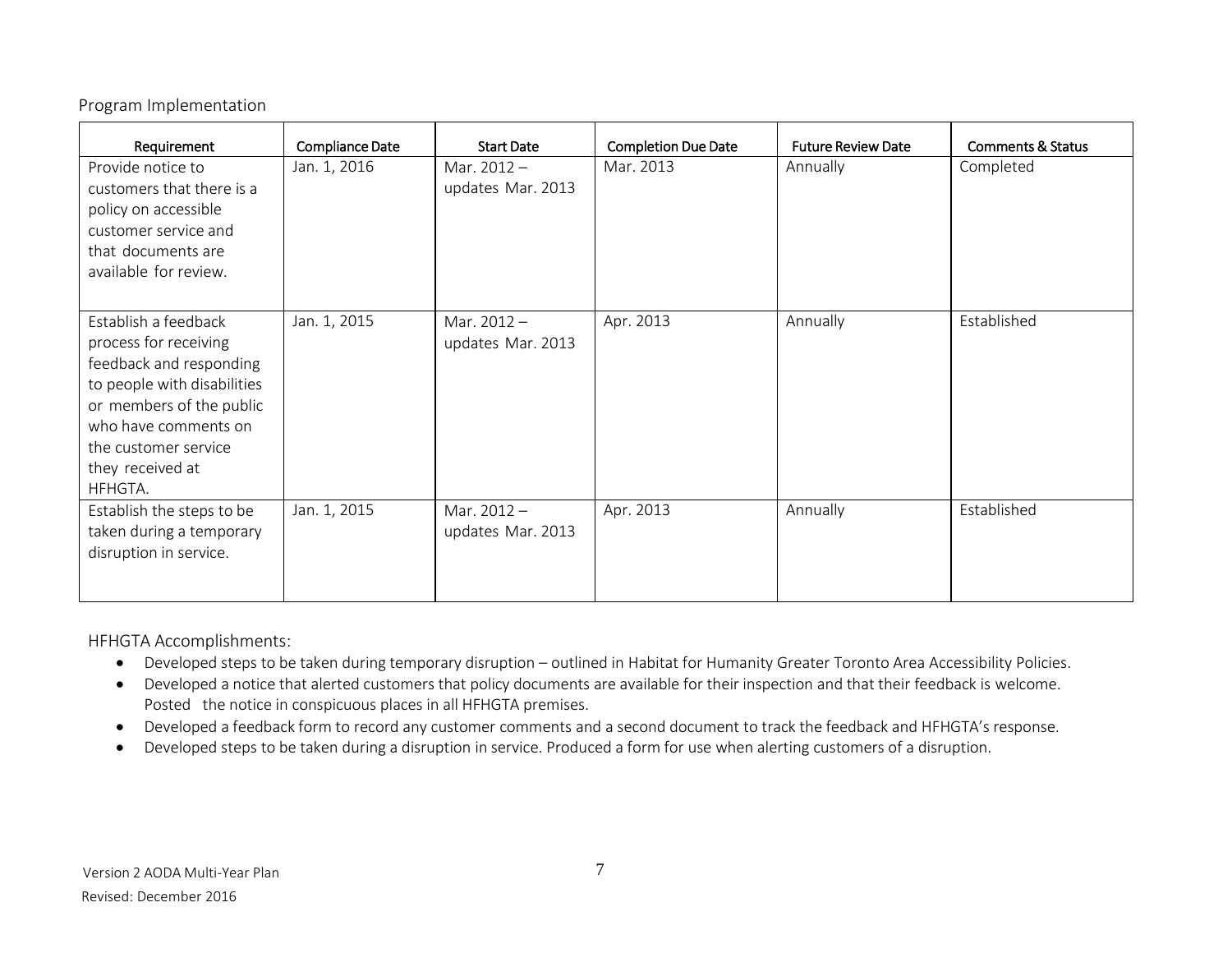<span id="page-6-0"></span>Program Implementation

| Requirement                                                                                                                                                                                                        | Compliance Date | <b>Start Date</b>                  | <b>Completion Due Date</b> | <b>Future Review Date</b> | <b>Comments &amp; Status</b> |
|--------------------------------------------------------------------------------------------------------------------------------------------------------------------------------------------------------------------|-----------------|------------------------------------|----------------------------|---------------------------|------------------------------|
| Provide notice to<br>customers that there is a<br>policy on accessible<br>customer service and<br>that documents are<br>available for review.                                                                      | Jan. 1, 2016    | Mar. $2012 -$<br>updates Mar. 2013 | Mar. 2013                  | Annually                  | Completed                    |
| Establish a feedback<br>process for receiving<br>feedback and responding<br>to people with disabilities<br>or members of the public<br>who have comments on<br>the customer service<br>they received at<br>HFHGTA. | Jan. 1, 2015    | Mar. $2012 -$<br>updates Mar. 2013 | Apr. 2013                  | Annually                  | Established                  |
| Establish the steps to be<br>taken during a temporary<br>disruption in service.                                                                                                                                    | Jan. 1, 2015    | Mar. $2012 -$<br>updates Mar. 2013 | Apr. 2013                  | Annually                  | Established                  |

HFHGTA Accomplishments:

- Developed steps to be taken during temporary disruption outlined in Habitat for Humanity Greater Toronto Area Accessibility Policies.
- Developed a notice that alerted customers that policy documents are available for their inspection and that their feedback is welcome. Posted the notice in conspicuous places in all HFHGTA premises.
- Developed a feedback form to record any customer comments and a second document to track the feedback and HFHGTA's response.
- Developed steps to be taken during a disruption in service. Produced a form for use when alerting customers of a disruption.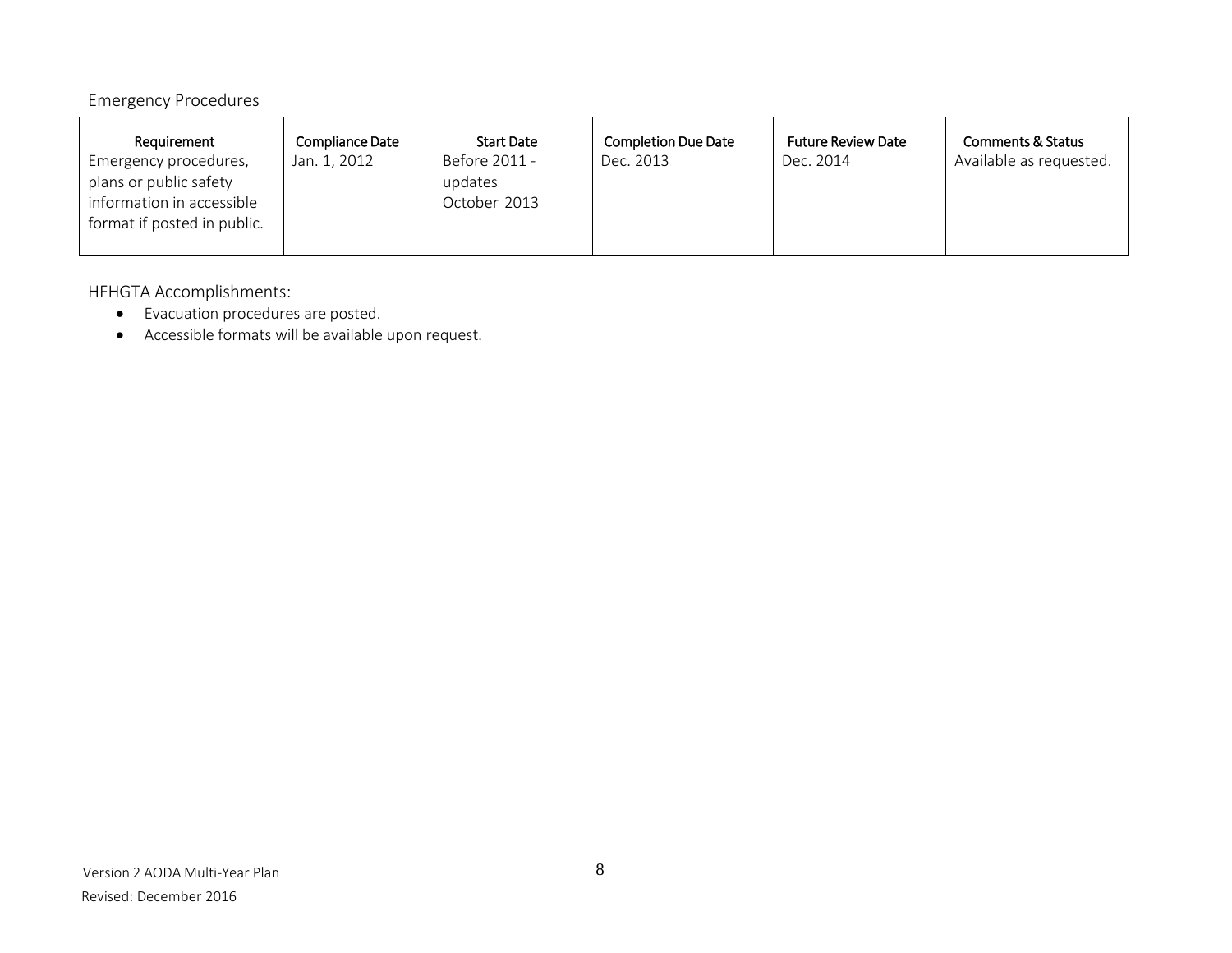# <span id="page-7-0"></span>Emergency Procedures

| Requirement                                                                                                 | Compliance Date | <b>Start Date</b>                        | <b>Completion Due Date</b> | <b>Future Review Date</b> | Comments & Status       |
|-------------------------------------------------------------------------------------------------------------|-----------------|------------------------------------------|----------------------------|---------------------------|-------------------------|
| Emergency procedures,<br>plans or public safety<br>information in accessible<br>format if posted in public. | Jan. 1, 2012    | Before 2011 -<br>updates<br>October 2013 | Dec. 2013                  | Dec. 2014                 | Available as requested. |

HFHGTA Accomplishments:

- Evacuation procedures are posted.
- Accessible formats will be available upon request.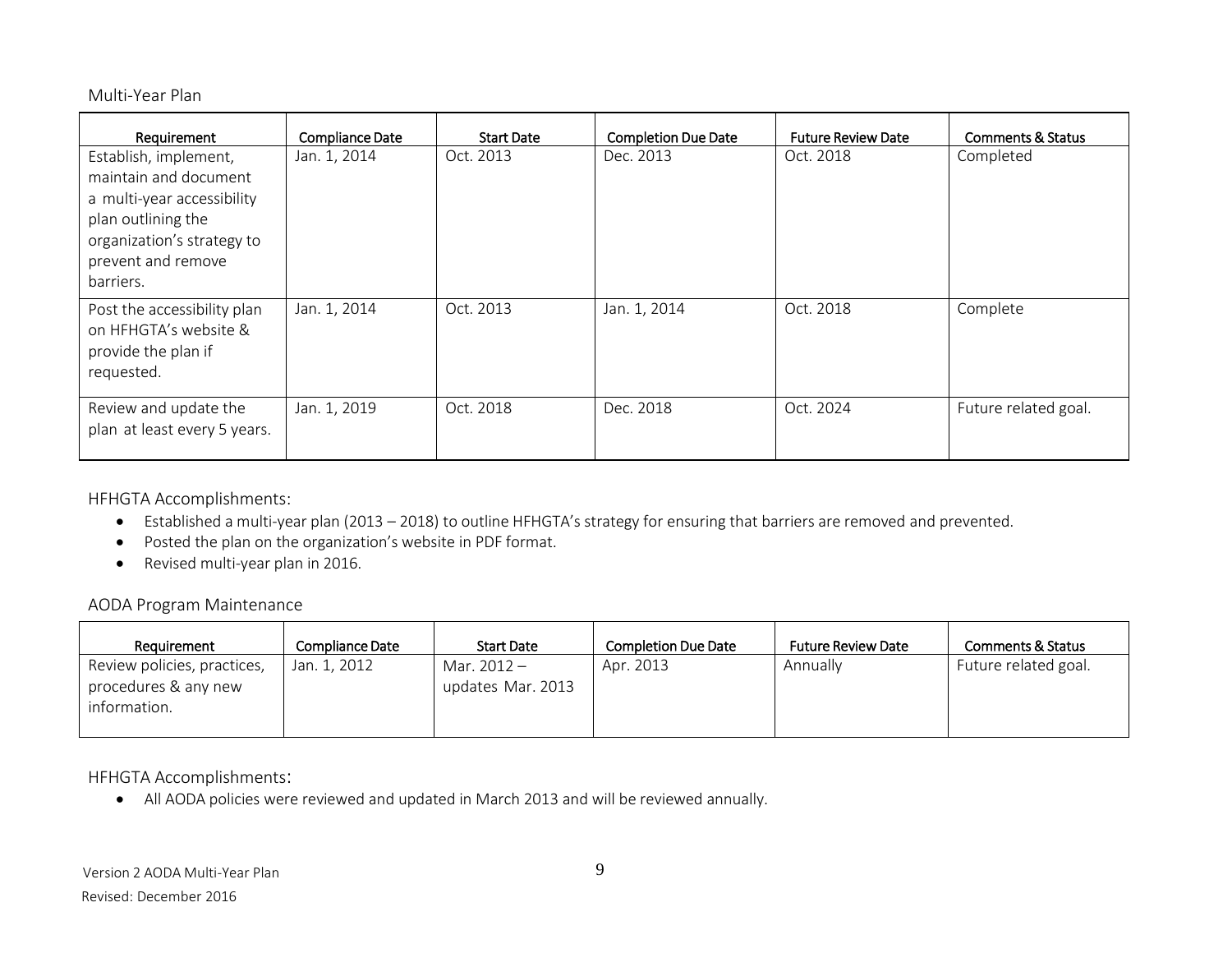#### <span id="page-8-0"></span>Multi-Year Plan

| Requirement                                                                                                                                                         | Compliance Date | <b>Start Date</b> | <b>Completion Due Date</b> | <b>Future Review Date</b> | <b>Comments &amp; Status</b> |
|---------------------------------------------------------------------------------------------------------------------------------------------------------------------|-----------------|-------------------|----------------------------|---------------------------|------------------------------|
| Establish, implement,<br>maintain and document<br>a multi-year accessibility<br>plan outlining the<br>organization's strategy to<br>prevent and remove<br>barriers. | Jan. 1, 2014    | Oct. 2013         | Dec. 2013                  | Oct. 2018                 | Completed                    |
| Post the accessibility plan<br>on HFHGTA's website &<br>provide the plan if<br>requested.                                                                           | Jan. 1, 2014    | Oct. 2013         | Jan. 1, 2014               | Oct. 2018                 | Complete                     |
| Review and update the<br>plan at least every 5 years.                                                                                                               | Jan. 1, 2019    | Oct. 2018         | Dec. 2018                  | Oct. 2024                 | Future related goal.         |

HFHGTA Accomplishments:

- Established a multi-year plan (2013 2018) to outline HFHGTA's strategy for ensuring that barriers are removed and prevented.
- Posted the plan on the organization's website in PDF format.
- Revised multi-year plan in 2016.

#### <span id="page-8-1"></span>AODA Program Maintenance

| Requirement                                                         | Compliance Date | <b>Start Date</b>                | <b>Completion Due Date</b> | <b>Future Review Date</b> | <b>Comments &amp; Status</b> |
|---------------------------------------------------------------------|-----------------|----------------------------------|----------------------------|---------------------------|------------------------------|
| Review policies, practices,<br>procedures & any new<br>information. | Jan. 1, 2012    | Mar. 2012 -<br>updates Mar. 2013 | Apr. 2013                  | Annually                  | Future related goal.         |

HFHGTA Accomplishments:

All AODA policies were reviewed and updated in March 2013 and will be reviewed annually.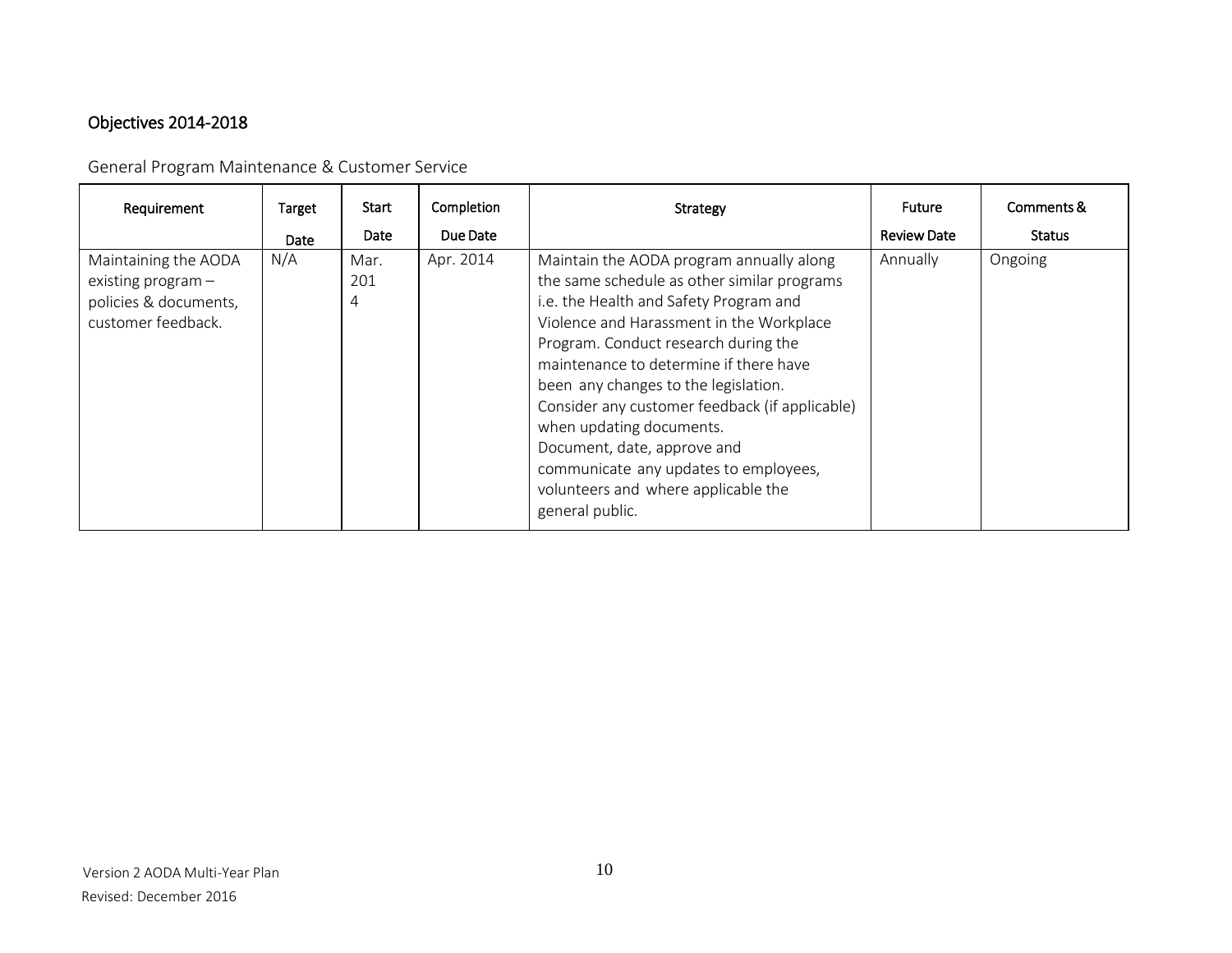# <span id="page-9-0"></span>Objectives 2014-2018

<span id="page-9-1"></span>General Program Maintenance & Customer Service

<span id="page-9-2"></span>

| Requirement                                                                                 | Target<br><b>Date</b> | Start<br>Date    | Completion<br>Due Date | Strategy                                                                                                                                                                                                                                                                                                                                                                                                                                                                                                                | <b>Future</b><br><b>Review Date</b> | Comments &<br><b>Status</b> |
|---------------------------------------------------------------------------------------------|-----------------------|------------------|------------------------|-------------------------------------------------------------------------------------------------------------------------------------------------------------------------------------------------------------------------------------------------------------------------------------------------------------------------------------------------------------------------------------------------------------------------------------------------------------------------------------------------------------------------|-------------------------------------|-----------------------------|
| Maintaining the AODA<br>existing program $-$<br>policies & documents,<br>customer feedback. | N/A                   | Mar.<br>201<br>4 | Apr. 2014              | Maintain the AODA program annually along<br>the same schedule as other similar programs<br>i.e. the Health and Safety Program and<br>Violence and Harassment in the Workplace<br>Program. Conduct research during the<br>maintenance to determine if there have<br>been any changes to the legislation.<br>Consider any customer feedback (if applicable)<br>when updating documents.<br>Document, date, approve and<br>communicate any updates to employees,<br>volunteers and where applicable the<br>general public. | Annually                            | Ongoing                     |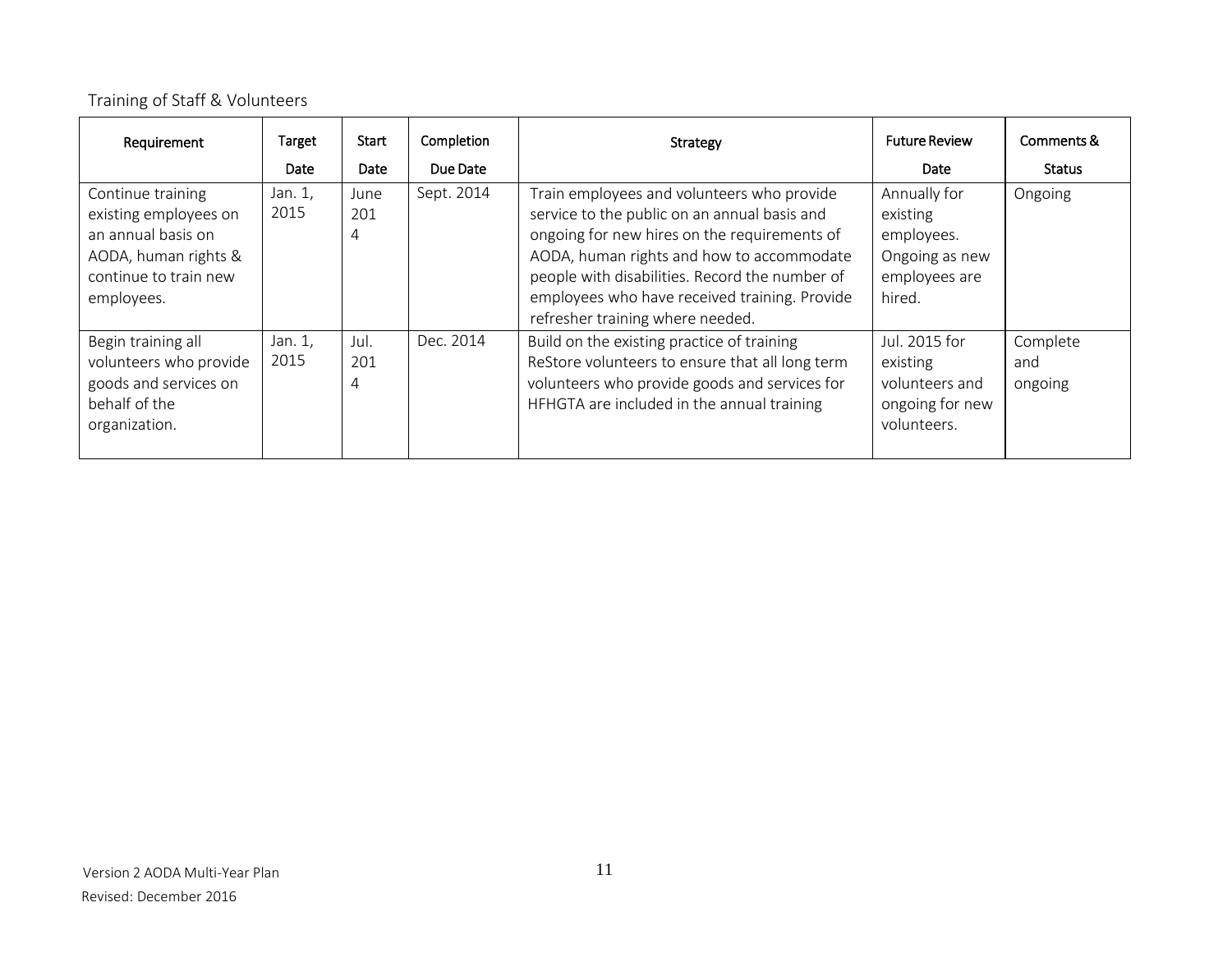# Training of Staff & Volunteers

| Requirement                                                                                                                     | Target<br>Date  | Start<br>Date    | Completion<br>Due Date | Strategy                                                                                                                                                                                                                                                                                                                       | <b>Future Review</b><br>Date                                                        | Comments &<br><b>Status</b> |
|---------------------------------------------------------------------------------------------------------------------------------|-----------------|------------------|------------------------|--------------------------------------------------------------------------------------------------------------------------------------------------------------------------------------------------------------------------------------------------------------------------------------------------------------------------------|-------------------------------------------------------------------------------------|-----------------------------|
| Continue training<br>existing employees on<br>an annual basis on<br>AODA, human rights &<br>continue to train new<br>employees. | Jan. 1,<br>2015 | June<br>201<br>4 | Sept. 2014             | Train employees and volunteers who provide<br>service to the public on an annual basis and<br>ongoing for new hires on the requirements of<br>AODA, human rights and how to accommodate<br>people with disabilities. Record the number of<br>employees who have received training. Provide<br>refresher training where needed. | Annually for<br>existing<br>employees.<br>Ongoing as new<br>employees are<br>hired. | Ongoing                     |
| Begin training all<br>volunteers who provide<br>goods and services on<br>behalf of the<br>organization.                         | Jan. 1,<br>2015 | Jul.<br>201<br>4 | Dec. 2014              | Build on the existing practice of training<br>ReStore volunteers to ensure that all long term<br>volunteers who provide goods and services for<br>HFHGTA are included in the annual training                                                                                                                                   | Jul. 2015 for<br>existing<br>volunteers and<br>ongoing for new<br>volunteers.       | Complete<br>and<br>ongoing  |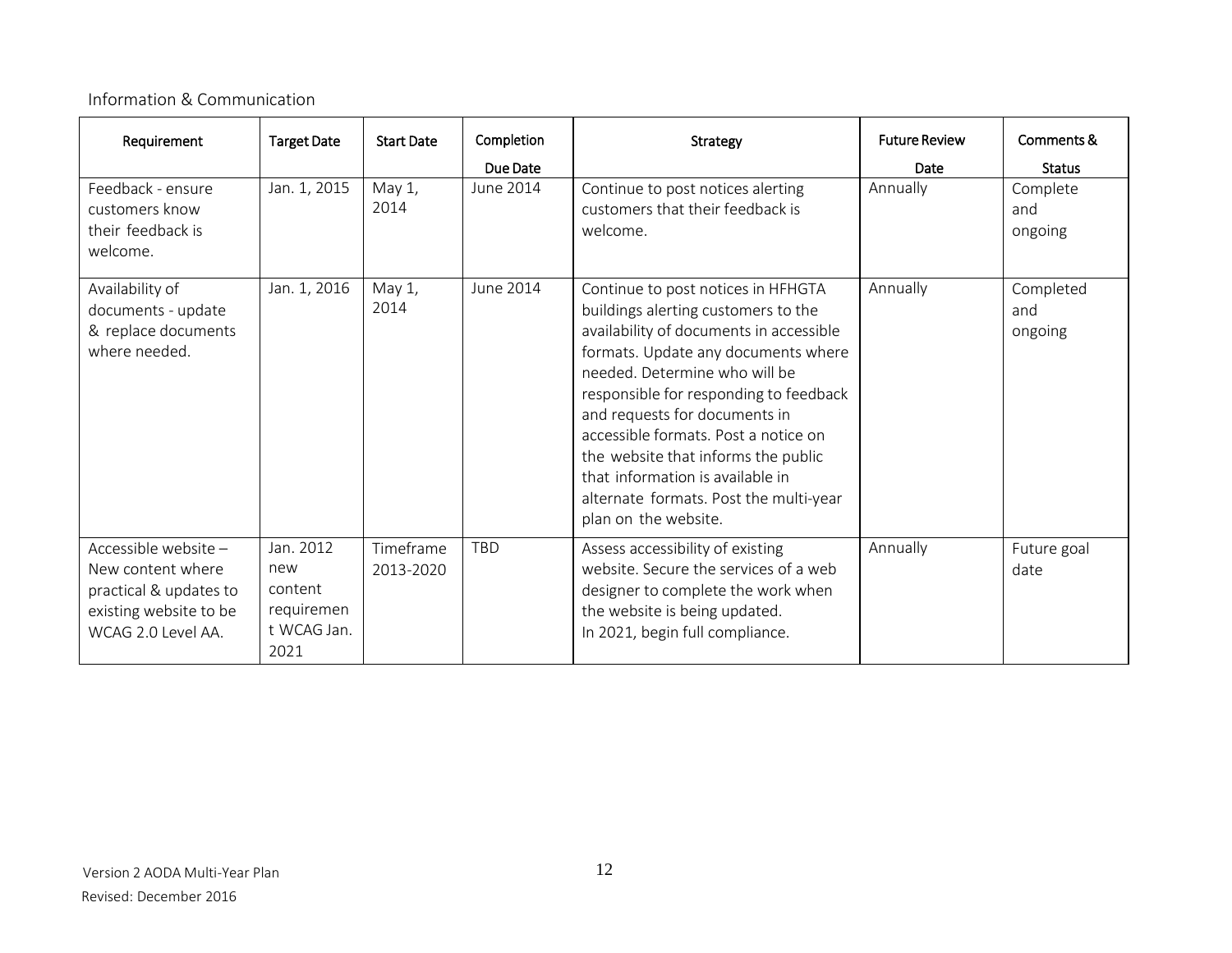# <span id="page-11-0"></span>Information & Communication

| Requirement                                                                                                        | <b>Target Date</b>                                               | <b>Start Date</b>      | Completion<br>Due Date | Strategy                                                                                                                                                                                                                                                                                                                                                                                                                                                     | <b>Future Review</b><br>Date | Comments &<br><b>Status</b> |
|--------------------------------------------------------------------------------------------------------------------|------------------------------------------------------------------|------------------------|------------------------|--------------------------------------------------------------------------------------------------------------------------------------------------------------------------------------------------------------------------------------------------------------------------------------------------------------------------------------------------------------------------------------------------------------------------------------------------------------|------------------------------|-----------------------------|
| Feedback - ensure<br>customers know<br>their feedback is<br>welcome.                                               | Jan. 1, 2015                                                     | May $1$ ,<br>2014      | June 2014              | Continue to post notices alerting<br>customers that their feedback is<br>welcome.                                                                                                                                                                                                                                                                                                                                                                            | Annually                     | Complete<br>and<br>ongoing  |
| Availability of<br>documents - update<br>& replace documents<br>where needed.                                      | Jan. 1, 2016                                                     | May $1$ ,<br>2014      | June 2014              | Continue to post notices in HFHGTA<br>buildings alerting customers to the<br>availability of documents in accessible<br>formats. Update any documents where<br>needed. Determine who will be<br>responsible for responding to feedback<br>and requests for documents in<br>accessible formats. Post a notice on<br>the website that informs the public<br>that information is available in<br>alternate formats. Post the multi-year<br>plan on the website. | Annually                     | Completed<br>and<br>ongoing |
| Accessible website-<br>New content where<br>practical & updates to<br>existing website to be<br>WCAG 2.0 Level AA. | Jan. 2012<br>new<br>content<br>requiremen<br>t WCAG Jan.<br>2021 | Timeframe<br>2013-2020 | <b>TBD</b>             | Assess accessibility of existing<br>website. Secure the services of a web<br>designer to complete the work when<br>the website is being updated.<br>In 2021, begin full compliance.                                                                                                                                                                                                                                                                          | Annually                     | Future goal<br>date         |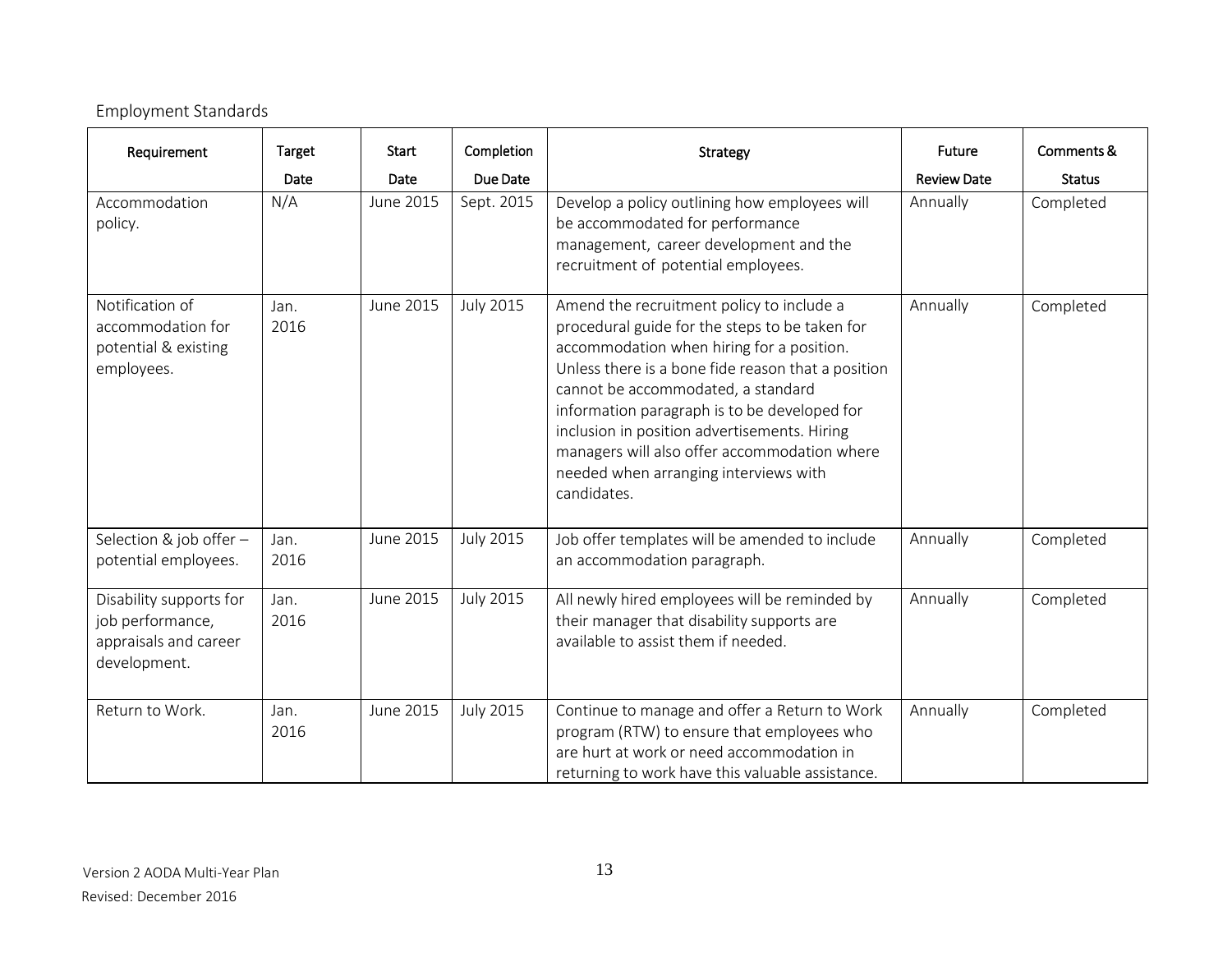<span id="page-12-0"></span>

| Requirement                                                                          | Target<br>Date | Start<br>Date | Completion<br>Due Date | <b>Strategy</b>                                                                                                                                                                                                                                                                                                                                                                                                                              | <b>Future</b><br><b>Review Date</b> | Comments &<br><b>Status</b> |
|--------------------------------------------------------------------------------------|----------------|---------------|------------------------|----------------------------------------------------------------------------------------------------------------------------------------------------------------------------------------------------------------------------------------------------------------------------------------------------------------------------------------------------------------------------------------------------------------------------------------------|-------------------------------------|-----------------------------|
| Accommodation<br>policy.                                                             | N/A            | June 2015     | Sept. 2015             | Develop a policy outlining how employees will<br>be accommodated for performance<br>management, career development and the<br>recruitment of potential employees.                                                                                                                                                                                                                                                                            | Annually                            | Completed                   |
| Notification of<br>accommodation for<br>potential & existing<br>employees.           | Jan.<br>2016   | June 2015     | <b>July 2015</b>       | Amend the recruitment policy to include a<br>procedural guide for the steps to be taken for<br>accommodation when hiring for a position.<br>Unless there is a bone fide reason that a position<br>cannot be accommodated, a standard<br>information paragraph is to be developed for<br>inclusion in position advertisements. Hiring<br>managers will also offer accommodation where<br>needed when arranging interviews with<br>candidates. | Annually                            | Completed                   |
| Selection & job offer -<br>potential employees.                                      | Jan.<br>2016   | June 2015     | <b>July 2015</b>       | Job offer templates will be amended to include<br>an accommodation paragraph.                                                                                                                                                                                                                                                                                                                                                                | Annually                            | Completed                   |
| Disability supports for<br>job performance,<br>appraisals and career<br>development. | Jan.<br>2016   | June 2015     | <b>July 2015</b>       | All newly hired employees will be reminded by<br>their manager that disability supports are<br>available to assist them if needed.                                                                                                                                                                                                                                                                                                           | Annually                            | Completed                   |
| Return to Work.                                                                      | Jan.<br>2016   | June 2015     | <b>July 2015</b>       | Continue to manage and offer a Return to Work<br>program (RTW) to ensure that employees who<br>are hurt at work or need accommodation in<br>returning to work have this valuable assistance.                                                                                                                                                                                                                                                 | Annually                            | Completed                   |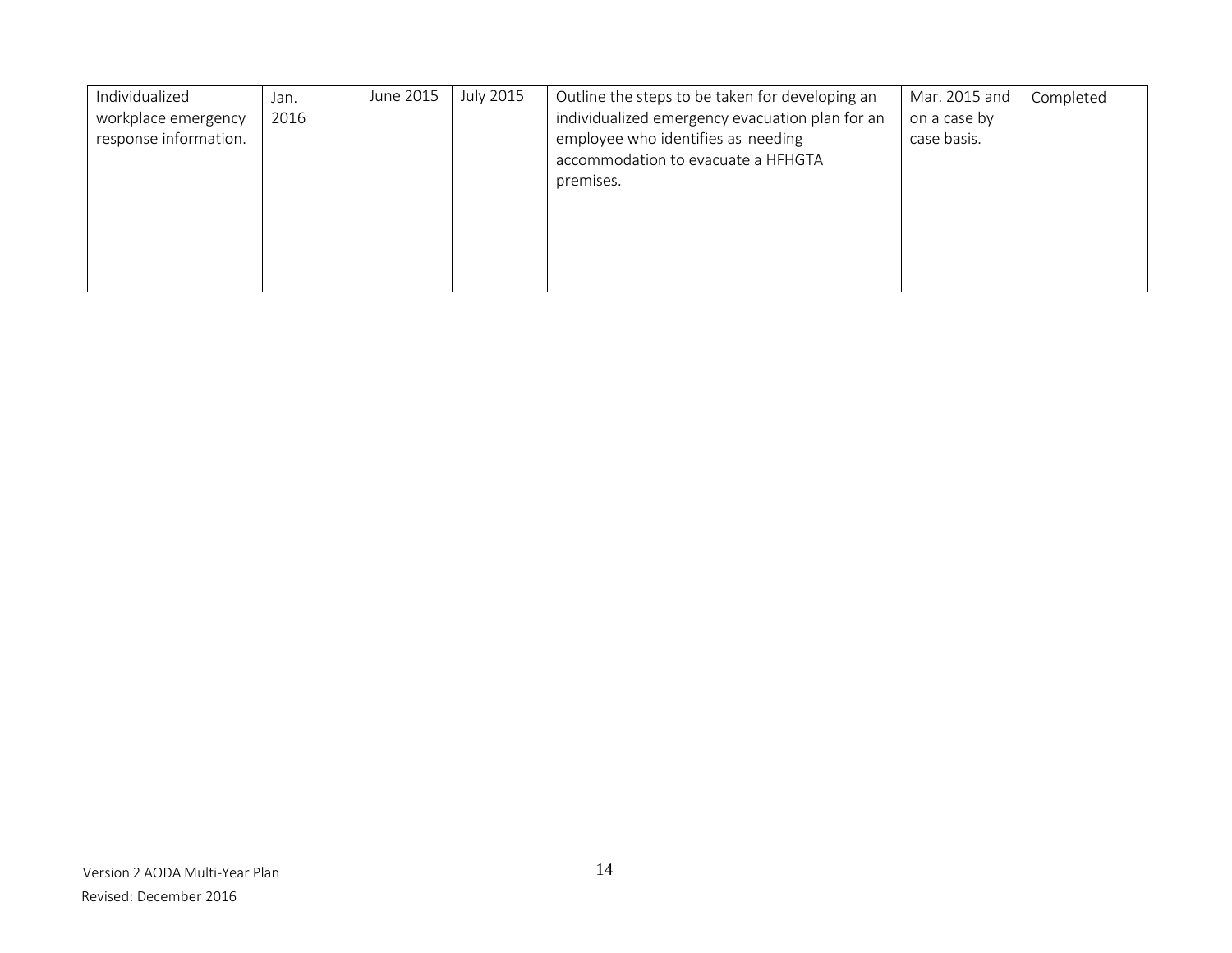| Individualized<br>workplace emergency<br>response information. | Jan.<br>2016 | June 2015 | <b>July 2015</b> | Outline the steps to be taken for developing an<br>individualized emergency evacuation plan for an<br>employee who identifies as needing<br>accommodation to evacuate a HFHGTA<br>premises. | Mar. 2015 and<br>on a case by<br>case basis. | Completed |
|----------------------------------------------------------------|--------------|-----------|------------------|---------------------------------------------------------------------------------------------------------------------------------------------------------------------------------------------|----------------------------------------------|-----------|
|                                                                |              |           |                  |                                                                                                                                                                                             |                                              |           |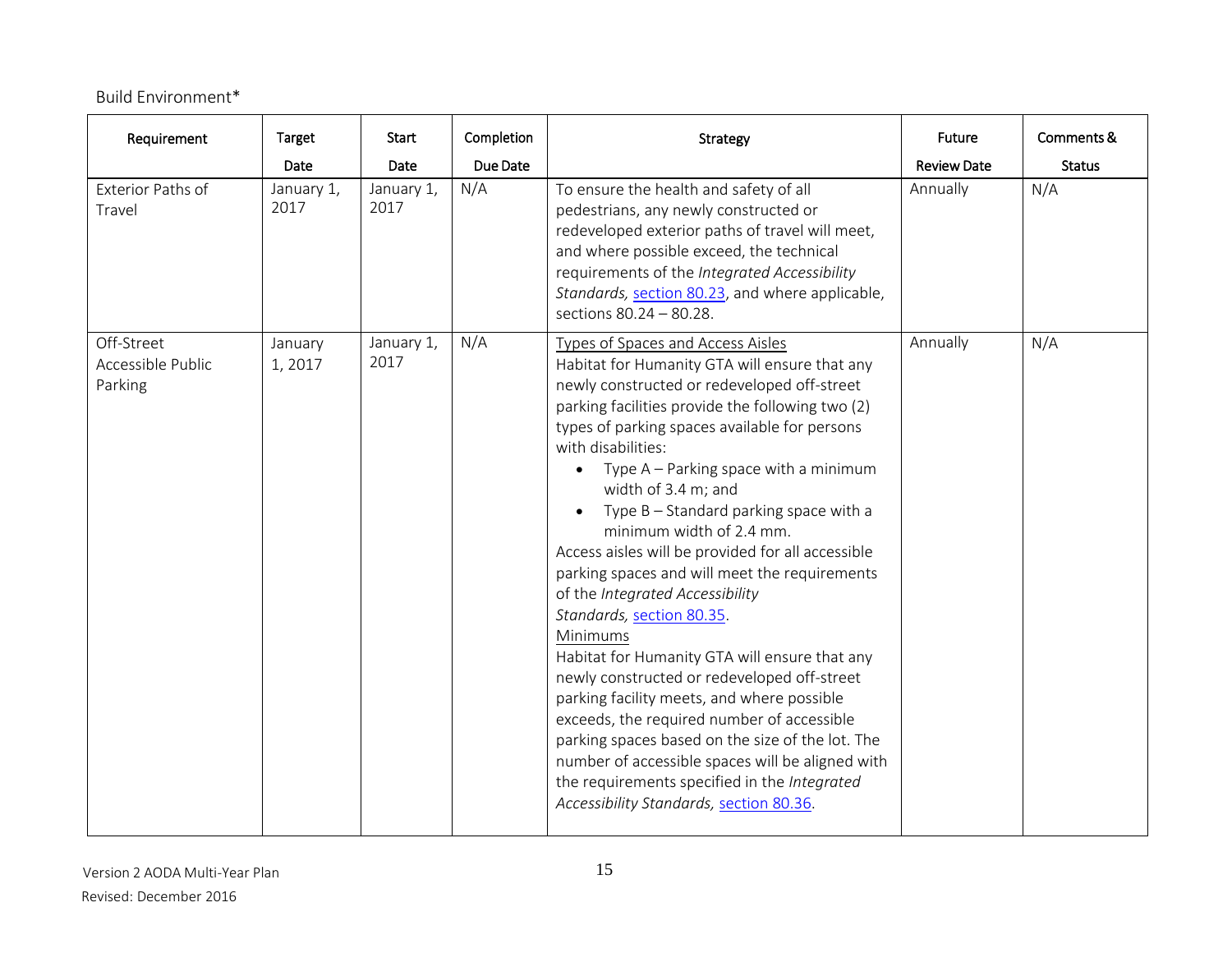# Build Environment\*

| Requirement                                | <b>Target</b>              | Start                      | Completion      | <b>Strategy</b>                                                                                                                                                                                                                                                                                                                                                                                                                                                                                                                                                                                                                                                                                                                                                                                                                                                                                                                                                                                                        | Future                         | Comments &           |
|--------------------------------------------|----------------------------|----------------------------|-----------------|------------------------------------------------------------------------------------------------------------------------------------------------------------------------------------------------------------------------------------------------------------------------------------------------------------------------------------------------------------------------------------------------------------------------------------------------------------------------------------------------------------------------------------------------------------------------------------------------------------------------------------------------------------------------------------------------------------------------------------------------------------------------------------------------------------------------------------------------------------------------------------------------------------------------------------------------------------------------------------------------------------------------|--------------------------------|----------------------|
| Exterior Paths of<br>Travel                | Date<br>January 1,<br>2017 | Date<br>January 1,<br>2017 | Due Date<br>N/A | To ensure the health and safety of all<br>pedestrians, any newly constructed or<br>redeveloped exterior paths of travel will meet,<br>and where possible exceed, the technical<br>requirements of the Integrated Accessibility<br>Standards, section 80.23, and where applicable,<br>sections 80.24 - 80.28.                                                                                                                                                                                                                                                                                                                                                                                                                                                                                                                                                                                                                                                                                                           | <b>Review Date</b><br>Annually | <b>Status</b><br>N/A |
| Off-Street<br>Accessible Public<br>Parking | January<br>1,2017          | January 1,<br>2017         | N/A             | Types of Spaces and Access Aisles<br>Habitat for Humanity GTA will ensure that any<br>newly constructed or redeveloped off-street<br>parking facilities provide the following two (2)<br>types of parking spaces available for persons<br>with disabilities:<br>Type A – Parking space with a minimum<br>$\bullet$<br>width of 3.4 m; and<br>Type $B -$ Standard parking space with a<br>$\bullet$<br>minimum width of 2.4 mm.<br>Access aisles will be provided for all accessible<br>parking spaces and will meet the requirements<br>of the Integrated Accessibility<br>Standards, section 80.35.<br><b>Minimums</b><br>Habitat for Humanity GTA will ensure that any<br>newly constructed or redeveloped off-street<br>parking facility meets, and where possible<br>exceeds, the required number of accessible<br>parking spaces based on the size of the lot. The<br>number of accessible spaces will be aligned with<br>the requirements specified in the Integrated<br>Accessibility Standards, section 80.36. | Annually                       | N/A                  |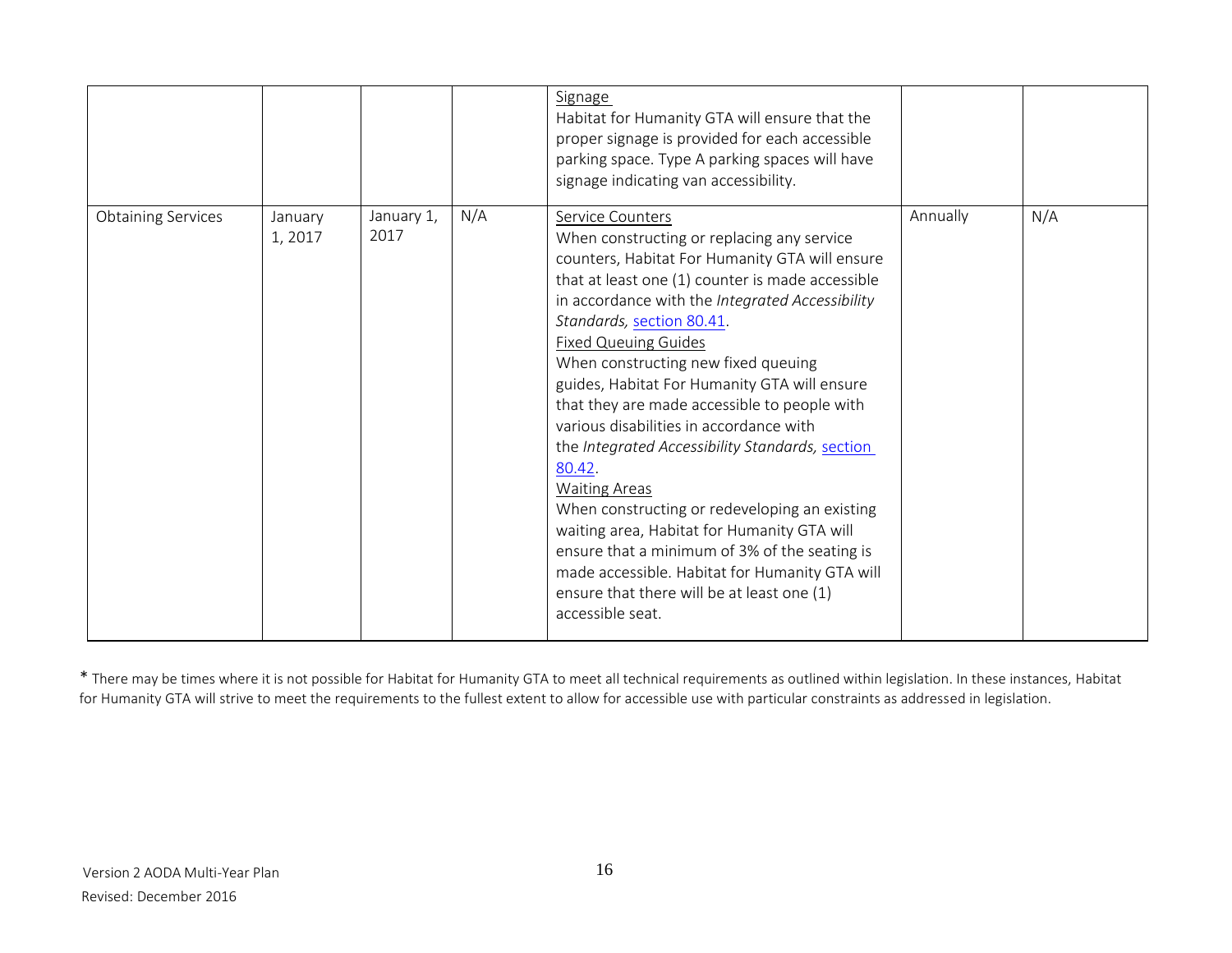|                           |                   |                    |     | Signage<br>Habitat for Humanity GTA will ensure that the<br>proper signage is provided for each accessible<br>parking space. Type A parking spaces will have<br>signage indicating van accessibility.                                                                                                                                                                                                                                                                                                                                                                                                                                                                                                                                                                                                                           |          |     |
|---------------------------|-------------------|--------------------|-----|---------------------------------------------------------------------------------------------------------------------------------------------------------------------------------------------------------------------------------------------------------------------------------------------------------------------------------------------------------------------------------------------------------------------------------------------------------------------------------------------------------------------------------------------------------------------------------------------------------------------------------------------------------------------------------------------------------------------------------------------------------------------------------------------------------------------------------|----------|-----|
| <b>Obtaining Services</b> | January<br>1,2017 | January 1,<br>2017 | N/A | Service Counters<br>When constructing or replacing any service<br>counters, Habitat For Humanity GTA will ensure<br>that at least one (1) counter is made accessible<br>in accordance with the Integrated Accessibility<br>Standards, section 80.41.<br><b>Fixed Queuing Guides</b><br>When constructing new fixed queuing<br>guides, Habitat For Humanity GTA will ensure<br>that they are made accessible to people with<br>various disabilities in accordance with<br>the Integrated Accessibility Standards, section<br>80.42.<br><b>Waiting Areas</b><br>When constructing or redeveloping an existing<br>waiting area, Habitat for Humanity GTA will<br>ensure that a minimum of 3% of the seating is<br>made accessible. Habitat for Humanity GTA will<br>ensure that there will be at least one (1)<br>accessible seat. | Annually | N/A |

\* There may be times where it is not possible for Habitat for Humanity GTA to meet all technical requirements as outlined within legislation. In these instances, Habitat for Humanity GTA will strive to meet the requirements to the fullest extent to allow for accessible use with particular constraints as addressed in legislation.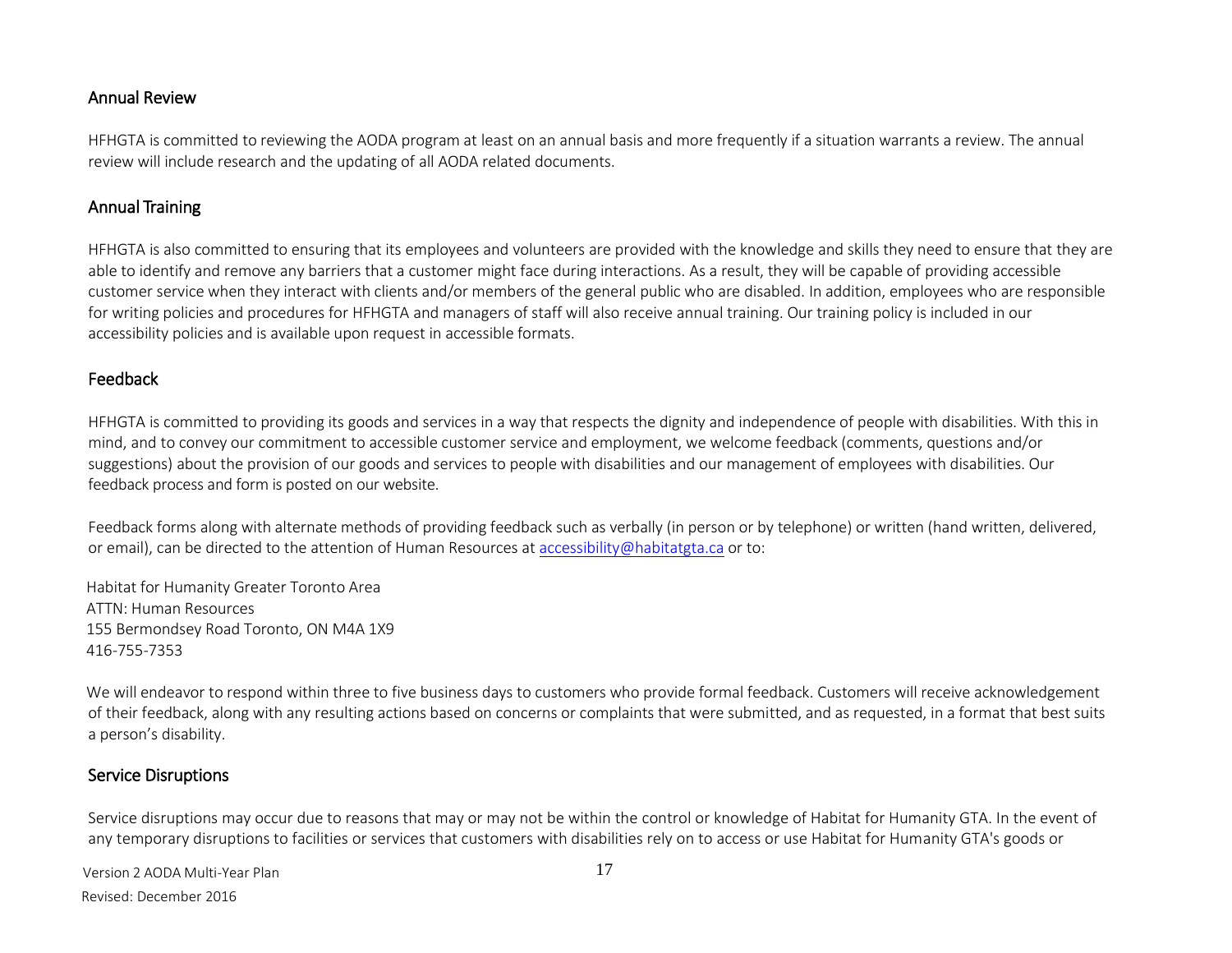#### Annual Review

HFHGTA is committed to reviewing the AODA program at least on an annual basis and more frequently if a situation warrants a review. The annual review will include research and the updating of all AODA related documents.

#### <span id="page-16-0"></span>Annual Training

HFHGTA is also committed to ensuring that its employees and volunteers are provided with the knowledge and skills they need to ensure that they are able to identify and remove any barriers that a customer might face during interactions. As a result, they will be capable of providing accessible customer service when they interact with clients and/or members of the general public who are disabled. In addition, employees who are responsible for writing policies and procedures for HFHGTA and managers of staff will also receive annual training. Our training policy is included in our accessibility policies and is available upon request in accessible formats.

#### <span id="page-16-1"></span>Feedback

HFHGTA is committed to providing its goods and services in a way that respects the dignity and independence of people with disabilities. With this in mind, and to convey our commitment to accessible customer service and employment, we welcome feedback (comments, questions and/or suggestions) about the provision of our goods and services to people with disabilities and our management of employees with disabilities. Our feedback process and form is posted on our website.

Feedback forms along with alternate methods of providing feedback such as verbally (in person or by telephone) or written (hand written, delivered, or email), can be directed to the attention of Human Resources a[t accessibility@habitatgta.ca](mailto:accessibility@habitatgta.ca) or to:

Habitat for Humanity Greater Toronto Area ATTN: Human Resources 155 Bermondsey Road Toronto, ON M4A 1X9 416-755-7353

We will endeavor to respond within three to five business days to customers who provide formal feedback. Customers will receive acknowledgement of their feedback, along with any resulting actions based on concerns or complaints that were submitted, and as requested, in a format that best suits a person's disability.

#### Service Disruptions

Service disruptions may occur due to reasons that may or may not be within the control or knowledge of Habitat for Humanity GTA. In the event of any temporary disruptions to facilities or services that customers with disabilities rely on to access or use Habitat for Humanity GTA's goods or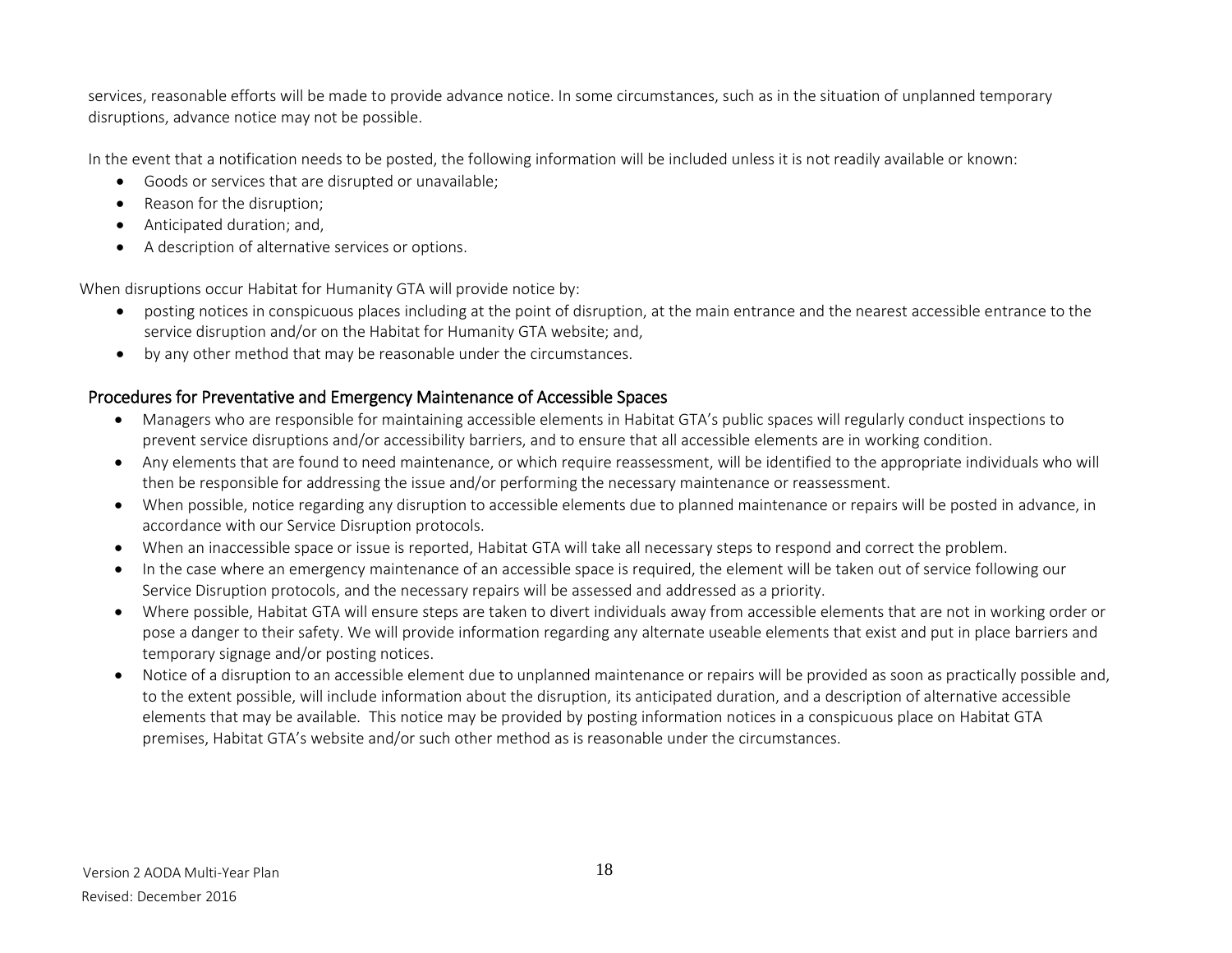services, reasonable efforts will be made to provide advance notice. In some circumstances, such as in the situation of unplanned temporary disruptions, advance notice may not be possible.

In the event that a notification needs to be posted, the following information will be included unless it is not readily available or known:

- Goods or services that are disrupted or unavailable;
- Reason for the disruption;
- Anticipated duration; and,
- A description of alternative services or options.

When disruptions occur Habitat for Humanity GTA will provide notice by:

- posting notices in conspicuous places including at the point of disruption, at the main entrance and the nearest accessible entrance to the service disruption and/or on the Habitat for Humanity GTA website; and,
- by any other method that may be reasonable under the circumstances.

# Procedures for Preventative and Emergency Maintenance of Accessible Spaces

- Managers who are responsible for maintaining accessible elements in Habitat GTA's public spaces will regularly conduct inspections to prevent service disruptions and/or accessibility barriers, and to ensure that all accessible elements are in working condition.
- Any elements that are found to need maintenance, or which require reassessment, will be identified to the appropriate individuals who will then be responsible for addressing the issue and/or performing the necessary maintenance or reassessment.
- When possible, notice regarding any disruption to accessible elements due to planned maintenance or repairs will be posted in advance, in accordance with our Service Disruption protocols.
- When an inaccessible space or issue is reported, Habitat GTA will take all necessary steps to respond and correct the problem.
- In the case where an emergency maintenance of an accessible space is required, the element will be taken out of service following our Service Disruption protocols, and the necessary repairs will be assessed and addressed as a priority.
- Where possible, Habitat GTA will ensure steps are taken to divert individuals away from accessible elements that are not in working order or pose a danger to their safety. We will provide information regarding any alternate useable elements that exist and put in place barriers and temporary signage and/or posting notices.
- <span id="page-17-0"></span> Notice of a disruption to an accessible element due to unplanned maintenance or repairs will be provided as soon as practically possible and, to the extent possible, will include information about the disruption, its anticipated duration, and a description of alternative accessible elements that may be available. This notice may be provided by posting information notices in a conspicuous place on Habitat GTA premises, Habitat GTA's website and/or such other method as is reasonable under the circumstances.